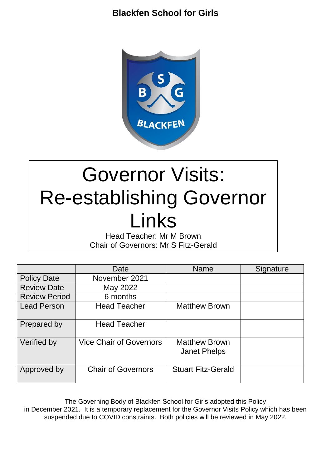

# Governor Visits: Re-establishing Governor Links

Head Teacher: Mr M Brown Chair of Governors: Mr S Fitz-Gerald

|                      | Date                           | <b>Name</b>                                 | Signature |
|----------------------|--------------------------------|---------------------------------------------|-----------|
| <b>Policy Date</b>   | November 2021                  |                                             |           |
| <b>Review Date</b>   | May 2022                       |                                             |           |
| <b>Review Period</b> | 6 months                       |                                             |           |
| <b>Lead Person</b>   | <b>Head Teacher</b>            | <b>Matthew Brown</b>                        |           |
| Prepared by          | <b>Head Teacher</b>            |                                             |           |
| Verified by          | <b>Vice Chair of Governors</b> | <b>Matthew Brown</b><br><b>Janet Phelps</b> |           |
| Approved by          | <b>Chair of Governors</b>      | <b>Stuart Fitz-Gerald</b>                   |           |

The Governing Body of Blackfen School for Girls adopted this Policy in December 2021. It is a temporary replacement for the Governor Visits Policy which has been suspended due to COVID constraints. Both policies will be reviewed in May 2022.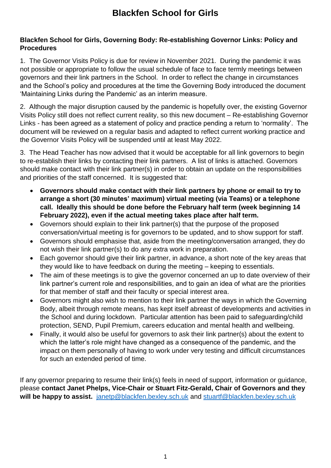#### **Blackfen School for Girls, Governing Body: Re-establishing Governor Links: Policy and Procedures**

1. The Governor Visits Policy is due for review in November 2021. During the pandemic it was not possible or appropriate to follow the usual schedule of face to face termly meetings between governors and their link partners in the School. In order to reflect the change in circumstances and the School's policy and procedures at the time the Governing Body introduced the document 'Maintaining Links during the Pandemic' as an interim measure.

2. Although the major disruption caused by the pandemic is hopefully over, the existing Governor Visits Policy still does not reflect current reality, so this new document – Re-establishing Governor Links - has been agreed as a statement of policy and practice pending a return to 'normality'. The document will be reviewed on a regular basis and adapted to reflect current working practice and the Governor Visits Policy will be suspended until at least May 2022.

3. The Head Teacher has now advised that it would be acceptable for all link governors to begin to re-establish their links by contacting their link partners. A list of links is attached. Governors should make contact with their link partner(s) in order to obtain an update on the responsibilities and priorities of the staff concerned. It is suggested that:

- **Governors should make contact with their link partners by phone or email to try to arrange a short (30 minutes' maximum) virtual meeting (via Teams) or a telephone call. Ideally this should be done before the February half term (week beginning 14 February 2022), even if the actual meeting takes place after half term.**
- Governors should explain to their link partner(s) that the purpose of the proposed conversation/virtual meeting is for governors to be updated, and to show support for staff.
- Governors should emphasise that, aside from the meeting/conversation arranged, they do not wish their link partner(s) to do any extra work in preparation.
- Each governor should give their link partner, in advance, a short note of the key areas that they would like to have feedback on during the meeting – keeping to essentials.
- The aim of these meetings is to give the governor concerned an up to date overview of their link partner's current role and responsibilities, and to gain an idea of what are the priorities for that member of staff and their faculty or special interest area.
- Governors might also wish to mention to their link partner the ways in which the Governing Body, albeit through remote means, has kept itself abreast of developments and activities in the School and during lockdown. Particular attention has been paid to safeguarding/child protection, SEND, Pupil Premium, careers education and mental health and wellbeing.
- Finally, it would also be useful for governors to ask their link partner(s) about the extent to which the latter's role might have changed as a consequence of the pandemic, and the impact on them personally of having to work under very testing and difficult circumstances for such an extended period of time.

If any governor preparing to resume their link(s) feels in need of support, information or guidance, please **contact Janet Phelps, Vice-Chair or Stuart Fitz-Gerald, Chair of Governors and they will be happy to assist.** [janetp@blackfen.bexley.sch.uk](mailto:janetp@blackfen.bexley.sch.uk) and [stuartf@blackfen.bexley.sch.uk](mailto:stuartf@blackfen.bexley.sch.uk)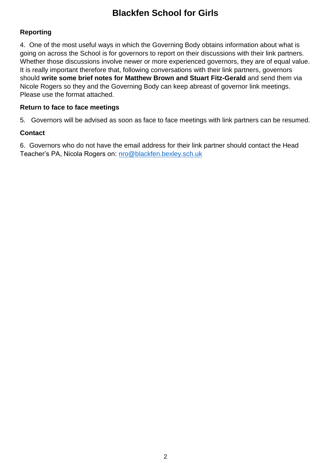#### **Reporting**

4. One of the most useful ways in which the Governing Body obtains information about what is going on across the School is for governors to report on their discussions with their link partners. Whether those discussions involve newer or more experienced governors, they are of equal value. It is really important therefore that, following conversations with their link partners, governors should **write some brief notes for Matthew Brown and Stuart Fitz-Gerald** and send them via Nicole Rogers so they and the Governing Body can keep abreast of governor link meetings. Please use the format attached.

#### **Return to face to face meetings**

5. Governors will be advised as soon as face to face meetings with link partners can be resumed.

#### **Contact**

6. Governors who do not have the email address for their link partner should contact the Head Teacher's PA, Nicola Rogers on: nro@blackfen.bexley.sch.uk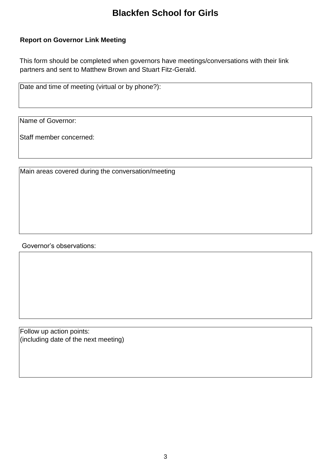#### **Report on Governor Link Meeting**

This form should be completed when governors have meetings/conversations with their link partners and sent to Matthew Brown and Stuart Fitz-Gerald.

Date and time of meeting (virtual or by phone?):

Name of Governor:

Staff member concerned:

Main areas covered during the conversation/meeting

Governor's observations:

Follow up action points: (including date of the next meeting)